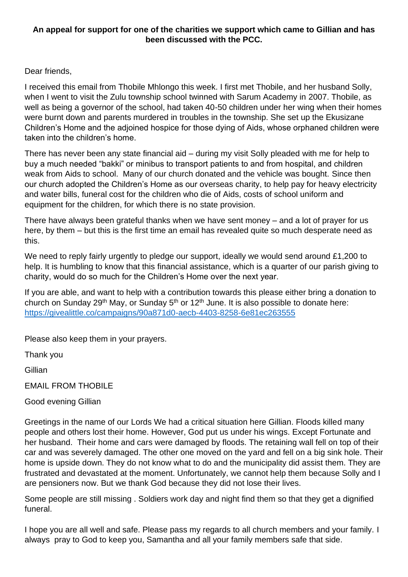## **An appeal for support for one of the charities we support which came to Gillian and has been discussed with the PCC.**

## Dear friends,

I received this email from Thobile Mhlongo this week. I first met Thobile, and her husband Solly, when I went to visit the Zulu township school twinned with Sarum Academy in 2007. Thobile, as well as being a governor of the school, had taken 40-50 children under her wing when their homes were burnt down and parents murdered in troubles in the township. She set up the Ekusizane Children's Home and the adjoined hospice for those dying of Aids, whose orphaned children were taken into the children's home.

There has never been any state financial aid – during my visit Solly pleaded with me for help to buy a much needed "bakki" or minibus to transport patients to and from hospital, and children weak from Aids to school. Many of our church donated and the vehicle was bought. Since then our church adopted the Children's Home as our overseas charity, to help pay for heavy electricity and water bills, funeral cost for the children who die of Aids, costs of school uniform and equipment for the children, for which there is no state provision.

There have always been grateful thanks when we have sent money – and a lot of prayer for us here, by them – but this is the first time an email has revealed quite so much desperate need as this.

We need to reply fairly urgently to pledge our support, ideally we would send around £1,200 to help. It is humbling to know that this financial assistance, which is a quarter of our parish giving to charity, would do so much for the Children's Home over the next year.

If you are able, and want to help with a contribution towards this please either bring a donation to church on Sunday 29<sup>th</sup> May, or Sunday  $5<sup>th</sup>$  or 12<sup>th</sup> June. It is also possible to donate here: <https://givealittle.co/campaigns/90a871d0-aecb-4403-8258-6e81ec263555>

Please also keep them in your prayers.

Thank you

Gillian

EMAIL FROM THOBILE

Good evening Gillian

Greetings in the name of our Lords We had a critical situation here Gillian. Floods killed many people and others lost their home. However, God put us under his wings. Except Fortunate and her husband. Their home and cars were damaged by floods. The retaining wall fell on top of their car and was severely damaged. The other one moved on the yard and fell on a big sink hole. Their home is upside down. They do not know what to do and the municipality did assist them. They are frustrated and devastated at the moment. Unfortunately, we cannot help them because Solly and I are pensioners now. But we thank God because they did not lose their lives.

Some people are still missing . Soldiers work day and night find them so that they get a dignified funeral.

I hope you are all well and safe. Please pass my regards to all church members and your family. I always pray to God to keep you, Samantha and all your family members safe that side.